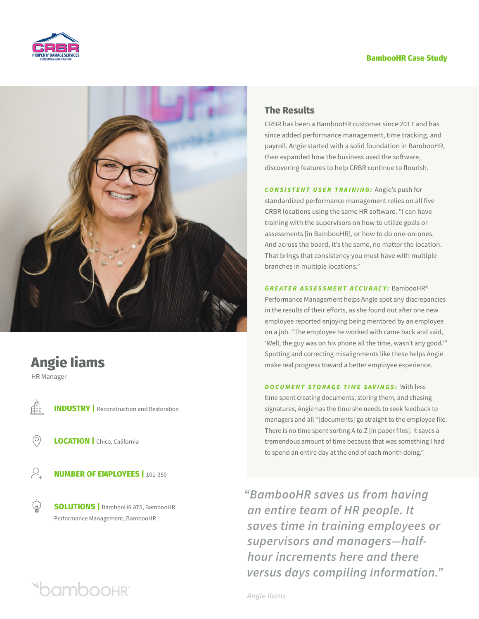



# **Angie Iiams**

HR Manager

Æ

**INDUSTRY** | Reconstruction and Restoration

**LOCATION** | Chico, California

**Oamboohr** 

 $\beta$ . **NUMBER OF EMPLOYEES |** 101-350

 $\mathbb{P}(\mathbb{R})$ **SOLUTIONS |** BambooHR ATS, BambooHR Performance Management, BambooHR

# **The Results**

CRBR has been a BambooHR customer since 2017 and has since added performance management, time tracking, and payroll. Angie started with a solid foundation in BambooHR, then expanded how the business used the software, discovering features to help CRBR continue to flourish.

*CONSISTENT USER TRAINING:* Angie's push for standardized performance management relies on all five CRBR locations using the same HR software. "I can have training with the supervisors on how to utilize goals or assessments [in BambooHR], or how to do one-on-ones. And across the board, it's the same, no matter the location. That brings that consistency you must have with multiple branches in multiple locations."

*GREATER ASSESSMENT ACCURACY:* BambooHR® Performance Management helps Angie spot any discrepancies in the results of their efforts, as she found out after one new employee reported enjoying being mentored by an employee on a job. "The employee he worked with came back and said, 'Well, the guy was on his phone all the time, wasn't any good.'" Spotting and correcting misalignments like these helps Angie make real progress toward a better employee experience.

*DOCUMENT STORAGE TIME SAVINGS:* With less

time spent creating documents, storing them, and chasing signatures, Angie has the time she needs to seek feedback to managers and all "[documents] go straight to the employee file. There is no time spent sorting A to Z [in paper files]. It saves a tremendous amount of time because that was something I had to spend an entire day at the end of each month doing."

*"BambooHR saves us from having an entire team of HR people. It saves time in training employees or supervisors and managers—halfhour increments here and there versus days compiling information."*

*Angie Iiams*